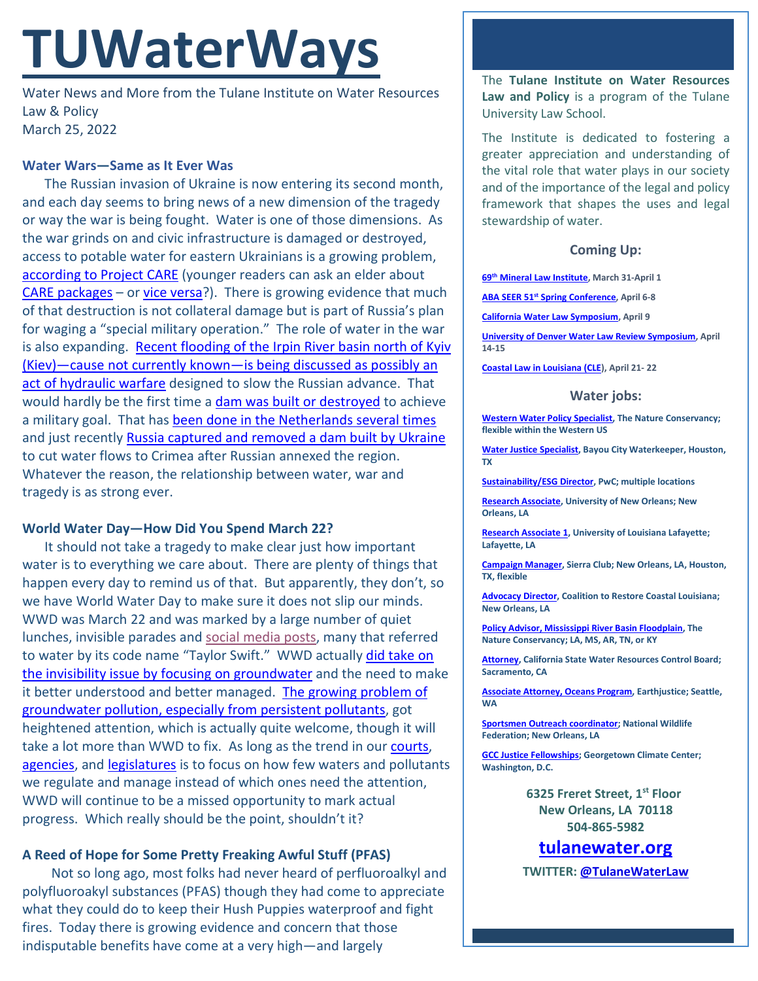# **TUWaterWays**

Water News and More from the Tulane Institute on Water Resources Law & Policy March 25, 2022

#### **Water Wars—Same as It Ever Was**

The Russian invasion of Ukraine is now entering its second month, and each day seems to bring news of a new dimension of the tragedy or way the war is being fought. Water is one of those dimensions. As the war grinds on and civic infrastructure is damaged or destroyed, access to potable water for eastern Ukrainians is a growing problem, according to [Project CARE](https://www.care.org/news-and-stories/press-releases/ukraine-many-places-in-the-east-are-cut-off-from-water-supply/) (younger readers can ask an elder about [CARE packages](https://www.care.org/about-us/our-history/) - or [vice versa?](https://www.rollingstone.com/music/music-album-reviews/drake-care-package-2-867643/)). There is growing evidence that much of that destruction is not collateral damage but is part of Russia's plan for waging a "special military operation." The role of water in the war is also expanding. Recent flooding of the Irpin River basin north of Kyiv [\(Kiev\)—cause not currently known—is being discussed as possibly an](https://www.msn.com/en-us/news/world/satellite-photos-show-flooding-around-kyiv-protecting-the-capital-from-russian-advances-in-a-possible-instance-of-hydraulic-warfare/ar-AAVpbe9?ocid=entnewsntp&pc=U531)  [act of hydraulic warfare](https://www.msn.com/en-us/news/world/satellite-photos-show-flooding-around-kyiv-protecting-the-capital-from-russian-advances-in-a-possible-instance-of-hydraulic-warfare/ar-AAVpbe9?ocid=entnewsntp&pc=U531) designed to slow the Russian advance. That would hardly be the first time a [dam was built or destroyed](https://www.youtube.com/watch?v=zkKtgZDrBIU) to achieve a military goal. That has [been done in the Netherlands several times](https://neverwasmag.com/2016/07/how-the-dutch-would-flood-their-country-to-stop-invaders/) and just recently [Russia captured and removed a dam built by Ukraine](https://english.alarabiya.net/News/world/2022/02/25/Russia-captures-key-water-supply-route-to-annexed-Crimea) to cut water flows to Crimea after Russian annexed the region. Whatever the reason, the relationship between water, war and tragedy is as strong ever.

## **World Water Day—How Did You Spend March 22?**

It should not take a tragedy to make clear just how important water is to everything we care about. There are plenty of things that happen every day to remind us of that. But apparently, they don't, so we have World Water Day to make sure it does not slip our minds. WWD was March 22 and was marked by a large number of quiet lunches, invisible parades and [social media posts,](https://www.msn.com/en-us/movies/celebrity/salma-hayek-takes-a-dip-to-celebrate-how-precious-water-is/vi-AAVpJtg?ocid=entnewsntp&pc=U531) many that referred to water by its code name "Taylor Swift." WWD actuall[y did take on](https://www.worldwaterday.org/)  [the invisibility issue by focusing on groundwater](https://www.worldwaterday.org/) and the need to make it better understood and better managed. [The growing problem of](https://www.msn.com/en-us/money/savingandinvesting/world-water-day-raises-alarm-for-groundwater-and-forever-chemicals-how-to-invest/ar-AAVnFlv)  [groundwater pollution, especially from persistent pollutants,](https://www.msn.com/en-us/money/savingandinvesting/world-water-day-raises-alarm-for-groundwater-and-forever-chemicals-how-to-invest/ar-AAVnFlv) got heightened attention, which is actually quite welcome, though it will take a lot more than WWD to fix. As long as the trend in ou[r courts,](https://www.msn.com/en-us/news/politics/the-supreme-court-should-rebuke-the-epas-unconstitutional-lawmaking/ar-AAU7IIz) [agencies,](https://www.foodsafetynews.com/2022/02/pressure-builds-on-epa-to-suspend-its-rulemaking-until-court-hears-water-case/) and [legislatures](https://www.indystar.com/story/news/environment/2022/03/22/indiana-environmental-bills-lawmakers-flunking-state-pollution/7094262001/) is to focus on how few waters and pollutants we regulate and manage instead of which ones need the attention, WWD will continue to be a missed opportunity to mark actual progress. Which really should be the point, shouldn't it?

## **A Reed of Hope for Some Pretty Freaking Awful Stuff (PFAS)**

 Not so long ago, most folks had never heard of perfluoroalkyl and polyfluoroakyl substances (PFAS) though they had come to appreciate what they could do to keep their Hush Puppies waterproof and fight fires. Today there is growing evidence and concern that those indisputable benefits have come at a very high—and largely

The **Tulane Institute on Water Resources Law and Policy** is a program of the Tulane University Law School.

The Institute is dedicated to fostering a greater appreciation and understanding of the vital role that water plays in our society and of the importance of the legal and policy framework that shapes the uses and legal stewardship of water.

## **Coming Up:**

**69th [Mineral Law Institute,](https://register.lsucle.org/22MLI) March 31-April 1**

**ABA SEER 51st [Spring Conference,](https://web.cvent.com/event/ea6dee84-227d-4bf5-8ee7-4b12deb77aa5/summary) April 6-8**

**[California Water Law Symposium,](https://www.waterlawsymposium.org/) April 9**

**[University of Denver Water Law Review Symposium,](https://www.duwaterlawreview.com/symposium) April 14-15**

**[Coastal Law in Louisiana \(CLE\)](https://www.theseminargroup.net/seminardetl.aspx?id=22.shrNO), April 21- 22**

#### **Water jobs:**

**[Western Water Policy Specialist,](https://www.joshswaterjobs.com/jobs/125471/) The Nature Conservancy; flexible within the Western US**

**[Water Justice Specialist,](https://bayoucitywaterkeeper.org/wp-content/uploads/2022/01/Water-Justice-Specialist.pdf) Bayou City Waterkeeper, Houston, TX**

**[Sustainability/ESG Director,](https://jobs.us.pwc.com/job/-/-/932/8531402784?utm_source=linkedin.com&utm_campaign=core_media&utm_medium=social_media&utm_content=job_posting&ss=paid&dclid=CIHN-by5yvMCFUvrwAodK4kFqw) PwC; multiple locations**

**[Research Associate,](https://ulsuno.wd1.myworkdayjobs.com/en-US/UniversityOfNewOrleans/job/New-Orleans-La/Research-Associate-1_R-000365) University of New Orleans; New Orleans, LA**

**[Research Associate 1,](https://louisiana.csod.com/ux/ats/careersite/1/home/requisition/1576?c=louisiana) University of Louisiana Lafayette; Lafayette, LA**

**[Campaign Manager,](https://phf.tbe.taleo.net/phf01/ats/careers/v2/viewRequisition?org=SIERRACLUB&cws=39&rid=1903) Sierra Club; New Orleans, LA, Houston, TX, flexible**

**[Advocacy Director,](https://www.crcl.org/_files/ugd/d2b7de_8fd72f2538bb45fba446d0afeb90d7a0.pdf) Coalition to Restore Coastal Louisiana; New Orleans, LA**

**[Policy Advisor, Mississippi River Basin Floodplain,](https://careers.nature.org/psc/tnccareers/APPLICANT/APPL/c/HRS_HRAM_FL.HRS_CG_SEARCH_FL.GBL?Page=HRS_APP_JBPST_FL&Action=U&FOCUS=Applicant&SiteId=1&JobOpeningId=51036&PostingSeq=1&PortalActualURL=https%3a%2f%2fcareers.nature.org%2fpsc%2ftnccareers%2fAPPLICANT%2fAPPL%2fc%2fHRS_HRAM_FL.HRS_CG_SEARCH_FL.GBL%3fPage%3dHRS_APP_JBPST_FL%26Action%3dU%26FOCUS%3dApplicant%26SiteId%3d1%26JobOpeningId%3d51036%26PostingSeq%3d1&PortalRegistryName=APPLICANT&PortalServletURI=https%3a%2f%2fcareers.nature.org%2fpsp%2ftnccareers%2f&PortalURI=https%3a%2f%2fcareers.nature.org%2fpsc%2ftnccareers%2f&PortalHostNode=APPL&NoCrumbs=yes&PortalKeyStruct=yes) The Nature Conservancy; LA, MS, AR, TN, or KY**

**[Attorney,](https://www.calcareers.ca.gov/CalHrPublic/Jobs/JobPosting.aspx?JobControlId=253429) California State Water Resources Control Board; Sacramento, CA**

**[Associate Attorney, Oceans Program,](https://jobs.americanbar.org/job/associate-attorney-oceans-program-open-to-other-locations/61796058/?utm_source=JobsEmail&utm_medium=Email&utm_content=JobPost&utm_campaign=Feb-28) Earthjustice; Seattle, WA**

**[Sportsmen Outreach coordinator;](https://recruiting.ultipro.com/NAT1047NWF/JobBoard/1ca8346a-33cc-401d-90d9-d7f752fdfd7d/OpportunityDetail?opportunityId=6ab7c4a8-e58e-413c-9fee-065ae1e4aee2) National Wildlife Federation; New Orleans, LA**

**[GCC Justice Fellowships;](https://www.georgetownclimate.org/articles/fellowship-opportunity-gcc-seeks-graduating-law-students-for-justice-fellow-program.html) Georgetown Climate Center; Washington, D.C.**

> **6325 Freret Street, 1st Floor New Orleans, LA 70118 504-865-5982**

# **tulanewater.org**

**TWITTER: [@TulaneWaterLaw](http://www.twitter.com/TulaneWaterLaw)**